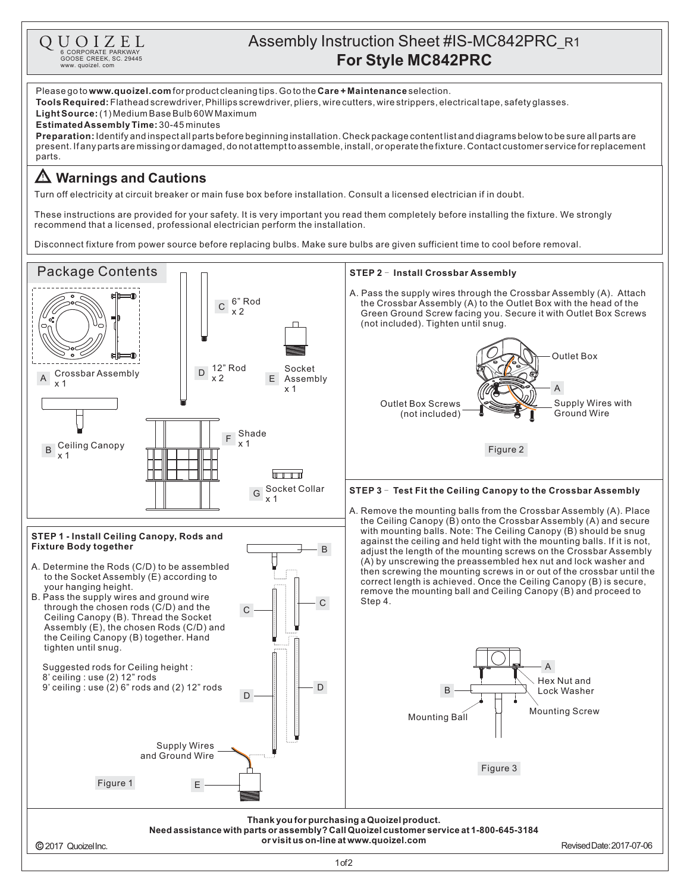

## Assembly Instruction Sheet #IS-MC842PRC\_R1 **CORPORATE PARKWAY**<br> **For Style MC842PRC**<br>
SOOS CREEK, SO. 29445<br>
WWW. QUOISE CREEK, SO. 29445